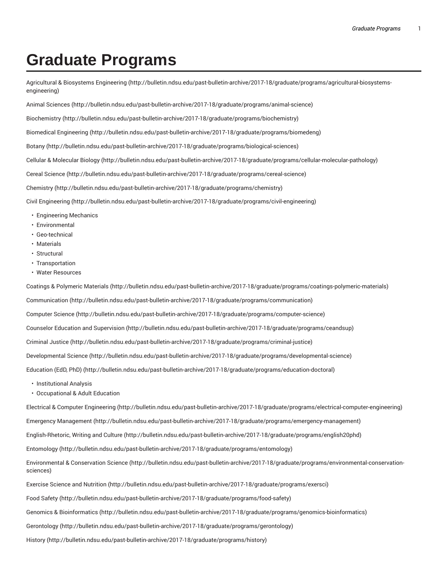## **Graduate Programs**

Agricultural & Biosystems Engineering (http://bulletin.ndsu.edu/past-bulletin-archive/2017-18/graduate/programs/agricultural-biosystemsengineering)

Animal Sciences (http://bulletin.ndsu.edu/past-bulletin-archive/2017-18/graduate/programs/animal-science)

Biochemistry (http://bulletin.ndsu.edu/past-bulletin-archive/2017-18/graduate/programs/biochemistry)

Biomedical Engineering (http://bulletin.ndsu.edu/past-bulletin-archive/2017-18/graduate/programs/biomedeng)

Botany (http://bulletin.ndsu.edu/past-bulletin-archive/2017-18/graduate/programs/biological-sciences)

Cellular & Molecular Biology (http://bulletin.ndsu.edu/past-bulletin-archive/2017-18/graduate/programs/cellular-molecular-pathology)

Cereal Science (http://bulletin.ndsu.edu/past-bulletin-archive/2017-18/graduate/programs/cereal-science)

Chemistry (http://bulletin.ndsu.edu/past-bulletin-archive/2017-18/graduate/programs/chemistry)

Civil Engineering (http://bulletin.ndsu.edu/past-bulletin-archive/2017-18/graduate/programs/civil-engineering)

- Engineering Mechanics
- Environmental
- Geo-technical
- Materials
- Structural
- Transportation
- Water Resources

Coatings & Polymeric Materials (http://bulletin.ndsu.edu/past-bulletin-archive/2017-18/graduate/programs/coatings-polymeric-materials)

Communication (http://bulletin.ndsu.edu/past-bulletin-archive/2017-18/graduate/programs/communication)

Computer Science (http://bulletin.ndsu.edu/past-bulletin-archive/2017-18/graduate/programs/computer-science)

Counselor Education and Supervision (http://bulletin.ndsu.edu/past-bulletin-archive/2017-18/graduate/programs/ceandsup)

Criminal Justice (http://bulletin.ndsu.edu/past-bulletin-archive/2017-18/graduate/programs/criminal-justice)

Developmental Science (http://bulletin.ndsu.edu/past-bulletin-archive/2017-18/graduate/programs/developmental-science)

Education (EdD, PhD) (http://bulletin.ndsu.edu/past-bulletin-archive/2017-18/graduate/programs/education-doctoral)

- Institutional Analysis
- Occupational & Adult Education

Electrical & Computer Engineering (http://bulletin.ndsu.edu/past-bulletin-archive/2017-18/graduate/programs/electrical-computer-engineering)

Emergency Management (http://bulletin.ndsu.edu/past-bulletin-archive/2017-18/graduate/programs/emergency-management)

English-Rhetoric, Writing and Culture (http://bulletin.ndsu.edu/past-bulletin-archive/2017-18/graduate/programs/english20phd)

Entomology (http://bulletin.ndsu.edu/past-bulletin-archive/2017-18/graduate/programs/entomology)

Environmental & Conservation Science (http://bulletin.ndsu.edu/past-bulletin-archive/2017-18/graduate/programs/environmental-conservationsciences)

Exercise Science and Nutrition (http://bulletin.ndsu.edu/past-bulletin-archive/2017-18/graduate/programs/exersci)

Food Safety (http://bulletin.ndsu.edu/past-bulletin-archive/2017-18/graduate/programs/food-safety)

Genomics & Bioinformatics (http://bulletin.ndsu.edu/past-bulletin-archive/2017-18/graduate/programs/genomics-bioinformatics)

Gerontology (http://bulletin.ndsu.edu/past-bulletin-archive/2017-18/graduate/programs/gerontology)

History (http://bulletin.ndsu.edu/past-bulletin-archive/2017-18/graduate/programs/history)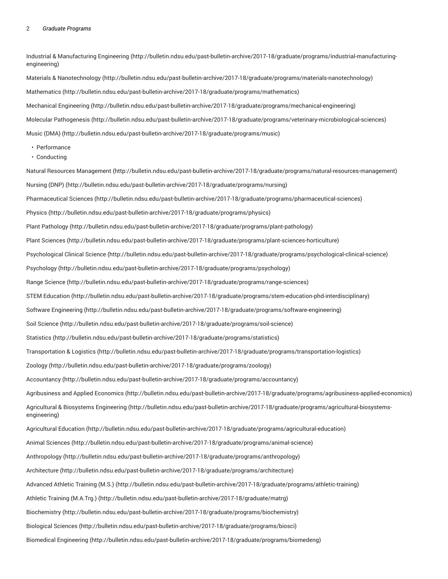Industrial & Manufacturing Engineering (http://bulletin.ndsu.edu/past-bulletin-archive/2017-18/graduate/programs/industrial-manufacturingengineering)

Materials & Nanotechnology (http://bulletin.ndsu.edu/past-bulletin-archive/2017-18/graduate/programs/materials-nanotechnology) Mathematics (http://bulletin.ndsu.edu/past-bulletin-archive/2017-18/graduate/programs/mathematics) Mechanical Engineering (http://bulletin.ndsu.edu/past-bulletin-archive/2017-18/graduate/programs/mechanical-engineering) Molecular Pathogenesis (http://bulletin.ndsu.edu/past-bulletin-archive/2017-18/graduate/programs/veterinary-microbiological-sciences) Music (DMA) (http://bulletin.ndsu.edu/past-bulletin-archive/2017-18/graduate/programs/music)

- Performance
- Conducting

Natural Resources Management (http://bulletin.ndsu.edu/past-bulletin-archive/2017-18/graduate/programs/natural-resources-management) Nursing (DNP) (http://bulletin.ndsu.edu/past-bulletin-archive/2017-18/graduate/programs/nursing) Pharmaceutical Sciences (http://bulletin.ndsu.edu/past-bulletin-archive/2017-18/graduate/programs/pharmaceutical-sciences) Physics (http://bulletin.ndsu.edu/past-bulletin-archive/2017-18/graduate/programs/physics) Plant Pathology (http://bulletin.ndsu.edu/past-bulletin-archive/2017-18/graduate/programs/plant-pathology) Plant Sciences (http://bulletin.ndsu.edu/past-bulletin-archive/2017-18/graduate/programs/plant-sciences-horticulture) Psychological Clinical Science (http://bulletin.ndsu.edu/past-bulletin-archive/2017-18/graduate/programs/psychological-clinical-science) Psychology (http://bulletin.ndsu.edu/past-bulletin-archive/2017-18/graduate/programs/psychology) Range Science (http://bulletin.ndsu.edu/past-bulletin-archive/2017-18/graduate/programs/range-sciences) STEM Education (http://bulletin.ndsu.edu/past-bulletin-archive/2017-18/graduate/programs/stem-education-phd-interdisciplinary) Software Engineering (http://bulletin.ndsu.edu/past-bulletin-archive/2017-18/graduate/programs/software-engineering) Soil Science (http://bulletin.ndsu.edu/past-bulletin-archive/2017-18/graduate/programs/soil-science) Statistics (http://bulletin.ndsu.edu/past-bulletin-archive/2017-18/graduate/programs/statistics) Transportation & Logistics (http://bulletin.ndsu.edu/past-bulletin-archive/2017-18/graduate/programs/transportation-logistics) Zoology (http://bulletin.ndsu.edu/past-bulletin-archive/2017-18/graduate/programs/zoology) Accountancy (http://bulletin.ndsu.edu/past-bulletin-archive/2017-18/graduate/programs/accountancy) Agribusiness and Applied Economics (http://bulletin.ndsu.edu/past-bulletin-archive/2017-18/graduate/programs/agribusiness-applied-economics) Agricultural & Biosystems Engineering (http://bulletin.ndsu.edu/past-bulletin-archive/2017-18/graduate/programs/agricultural-biosystemsengineering) Agricultural Education (http://bulletin.ndsu.edu/past-bulletin-archive/2017-18/graduate/programs/agricultural-education) Animal Sciences (http://bulletin.ndsu.edu/past-bulletin-archive/2017-18/graduate/programs/animal-science) Anthropology (http://bulletin.ndsu.edu/past-bulletin-archive/2017-18/graduate/programs/anthropology) Architecture (http://bulletin.ndsu.edu/past-bulletin-archive/2017-18/graduate/programs/architecture) Advanced Athletic Training (M.S.) (http://bulletin.ndsu.edu/past-bulletin-archive/2017-18/graduate/programs/athletic-training) Athletic Training (M.A.Trg.) (http://bulletin.ndsu.edu/past-bulletin-archive/2017-18/graduate/matrg) Biochemistry (http://bulletin.ndsu.edu/past-bulletin-archive/2017-18/graduate/programs/biochemistry) Biological Sciences (http://bulletin.ndsu.edu/past-bulletin-archive/2017-18/graduate/programs/biosci) Biomedical Engineering (http://bulletin.ndsu.edu/past-bulletin-archive/2017-18/graduate/programs/biomedeng)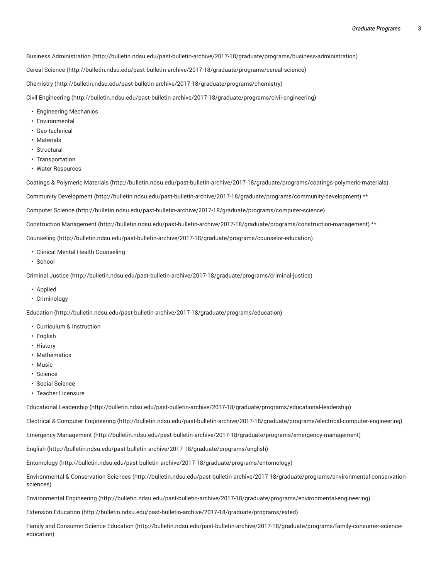Business Administration (http://bulletin.ndsu.edu/past-bulletin-archive/2017-18/graduate/programs/business-administration)

Cereal Science (http://bulletin.ndsu.edu/past-bulletin-archive/2017-18/graduate/programs/cereal-science)

Chemistry (http://bulletin.ndsu.edu/past-bulletin-archive/2017-18/graduate/programs/chemistry)

Civil Engineering (http://bulletin.ndsu.edu/past-bulletin-archive/2017-18/graduate/programs/civil-engineering)

- Engineering Mechanics
- Environmental
- Geo-technical
- Materials
- Structural
- Transportation
- Water Resources

Coatings & Polymeric Materials (http://bulletin.ndsu.edu/past-bulletin-archive/2017-18/graduate/programs/coatings-polymeric-materials)

Community Development (http://bulletin.ndsu.edu/past-bulletin-archive/2017-18/graduate/programs/community-development) \*\*

Computer Science (http://bulletin.ndsu.edu/past-bulletin-archive/2017-18/graduate/programs/computer-science)

Construction Management (http://bulletin.ndsu.edu/past-bulletin-archive/2017-18/graduate/programs/construction-management) \*\*

Counseling (http://bulletin.ndsu.edu/past-bulletin-archive/2017-18/graduate/programs/counselor-education)

- Clinical Mental Health Counseling
- School

Criminal Justice (http://bulletin.ndsu.edu/past-bulletin-archive/2017-18/graduate/programs/criminal-justice)

- Applied
- Criminology

Education (http://bulletin.ndsu.edu/past-bulletin-archive/2017-18/graduate/programs/education)

- Curriculum & Instruction
- English
- History
- Mathematics
- Music
- Science
- Social Science
- Teacher Licensure

Educational Leadership (http://bulletin.ndsu.edu/past-bulletin-archive/2017-18/graduate/programs/educational-leadership)

Electrical & Computer Engineering (http://bulletin.ndsu.edu/past-bulletin-archive/2017-18/graduate/programs/electrical-computer-engineering)

Emergency Management (http://bulletin.ndsu.edu/past-bulletin-archive/2017-18/graduate/programs/emergency-management)

English (http://bulletin.ndsu.edu/past-bulletin-archive/2017-18/graduate/programs/english)

Entomology (http://bulletin.ndsu.edu/past-bulletin-archive/2017-18/graduate/programs/entomology)

Environmental & Conservation Sciences (http://bulletin.ndsu.edu/past-bulletin-archive/2017-18/graduate/programs/environmental-conservationsciences)

Environmental Engineering (http://bulletin.ndsu.edu/past-bulletin-archive/2017-18/graduate/programs/environmental-engineering)

Extension Education (http://bulletin.ndsu.edu/past-bulletin-archive/2017-18/graduate/programs/exted)

Family and Consumer Science Education (http://bulletin.ndsu.edu/past-bulletin-archive/2017-18/graduate/programs/family-consumer-scienceeducation)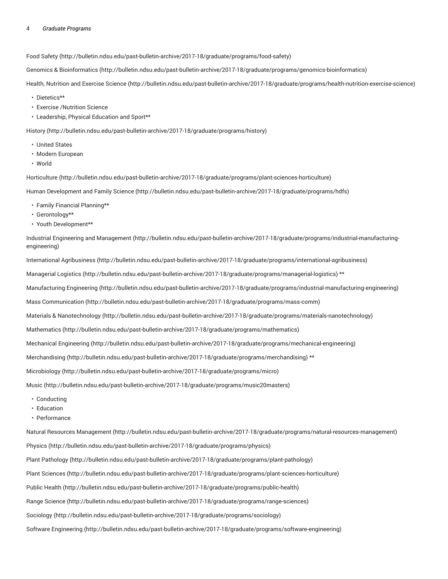## 4 *Graduate Programs*

Food Safety (http://bulletin.ndsu.edu/past-bulletin-archive/2017-18/graduate/programs/food-safety)

Genomics & Bioinformatics (http://bulletin.ndsu.edu/past-bulletin-archive/2017-18/graduate/programs/genomics-bioinformatics)

Health, Nutrition and Exercise Science (http://bulletin.ndsu.edu/past-bulletin-archive/2017-18/graduate/programs/health-nutrition-exercise-science)

- Dietetics\*\*
- Exercise /Nutrition Science
- Leadership, Physical Education and Sport\*\*

History (http://bulletin.ndsu.edu/past-bulletin-archive/2017-18/graduate/programs/history)

- United States
- Modern European
- World

Horticulture (http://bulletin.ndsu.edu/past-bulletin-archive/2017-18/graduate/programs/plant-sciences-horticulture)

Human Development and Family Science (http://bulletin.ndsu.edu/past-bulletin-archive/2017-18/graduate/programs/hdfs)

- Family Financial Planning\*\*
- Gerontology\*\*
- Youth Development\*\*

Industrial Engineering and Management (http://bulletin.ndsu.edu/past-bulletin-archive/2017-18/graduate/programs/industrial-manufacturingengineering)

International Agribusiness (http://bulletin.ndsu.edu/past-bulletin-archive/2017-18/graduate/programs/international-agribusiness)

Managerial Logistics (http://bulletin.ndsu.edu/past-bulletin-archive/2017-18/graduate/programs/managerial-logistics) \*\*

Manufacturing Engineering (http://bulletin.ndsu.edu/past-bulletin-archive/2017-18/graduate/programs/industrial-manufacturing-engineering)

Mass Communication (http://bulletin.ndsu.edu/past-bulletin-archive/2017-18/graduate/programs/mass-comm)

Materials & Nanotechnology (http://bulletin.ndsu.edu/past-bulletin-archive/2017-18/graduate/programs/materials-nanotechnology)

Mathematics (http://bulletin.ndsu.edu/past-bulletin-archive/2017-18/graduate/programs/mathematics)

Mechanical Engineering (http://bulletin.ndsu.edu/past-bulletin-archive/2017-18/graduate/programs/mechanical-engineering)

Merchandising (http://bulletin.ndsu.edu/past-bulletin-archive/2017-18/graduate/programs/merchandising) \*\*

Microbiology (http://bulletin.ndsu.edu/past-bulletin-archive/2017-18/graduate/programs/micro)

Music (http://bulletin.ndsu.edu/past-bulletin-archive/2017-18/graduate/programs/music20masters)

- Conducting
- Education
- Performance

Natural Resources Management (http://bulletin.ndsu.edu/past-bulletin-archive/2017-18/graduate/programs/natural-resources-management)

Physics (http://bulletin.ndsu.edu/past-bulletin-archive/2017-18/graduate/programs/physics)

Plant Pathology (http://bulletin.ndsu.edu/past-bulletin-archive/2017-18/graduate/programs/plant-pathology)

Plant Sciences (http://bulletin.ndsu.edu/past-bulletin-archive/2017-18/graduate/programs/plant-sciences-horticulture)

Public Health (http://bulletin.ndsu.edu/past-bulletin-archive/2017-18/graduate/programs/public-health)

Range Science (http://bulletin.ndsu.edu/past-bulletin-archive/2017-18/graduate/programs/range-sciences)

Sociology (http://bulletin.ndsu.edu/past-bulletin-archive/2017-18/graduate/programs/sociology)

Software Engineering (http://bulletin.ndsu.edu/past-bulletin-archive/2017-18/graduate/programs/software-engineering)